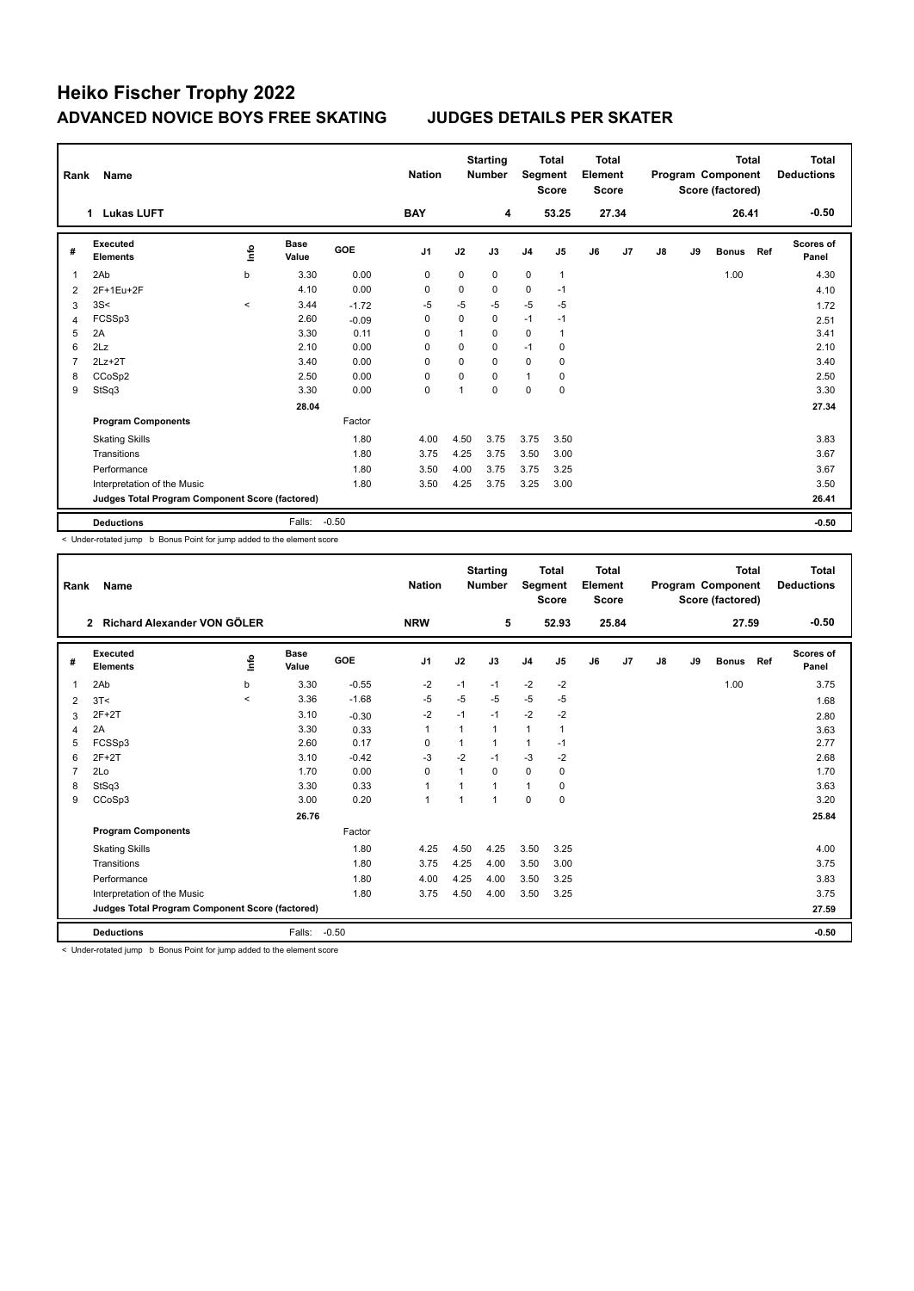## **Heiko Fischer Trophy 2022 ADVANCED NOVICE BOYS FREE SKATING JUDGES DETAILS PER SKATER**

| Rank           | Name                                            |         |                      |         | <b>Nation</b>  |                | <b>Starting</b><br><b>Total</b><br><b>Number</b><br>Segment<br><b>Score</b> |                |                | <b>Total</b><br>Element<br><b>Score</b> |       |    | Program Component<br>Score (factored) | <b>Total</b> | Total<br><b>Deductions</b> |                    |  |
|----------------|-------------------------------------------------|---------|----------------------|---------|----------------|----------------|-----------------------------------------------------------------------------|----------------|----------------|-----------------------------------------|-------|----|---------------------------------------|--------------|----------------------------|--------------------|--|
|                | <b>Lukas LUFT</b><br>1                          |         |                      |         | <b>BAY</b>     |                | 4                                                                           |                | 53.25          |                                         | 27.34 |    | 26.41                                 |              |                            | $-0.50$            |  |
| #              | Executed<br><b>Elements</b>                     | info    | <b>Base</b><br>Value | GOE     | J <sub>1</sub> | J2             | J3                                                                          | J <sub>4</sub> | J5             | J6                                      | J7    | J8 | J9                                    | <b>Bonus</b> | Ref                        | Scores of<br>Panel |  |
|                | 2Ab                                             | b       | 3.30                 | 0.00    | $\mathbf 0$    | $\mathbf 0$    | $\mathbf 0$                                                                 | $\mathbf 0$    | $\mathbf{1}$   |                                         |       |    |                                       | 1.00         |                            | 4.30               |  |
| 2              | 2F+1Eu+2F                                       |         | 4.10                 | 0.00    | 0              | 0              | 0                                                                           | 0              | $-1$           |                                         |       |    |                                       |              |                            | 4.10               |  |
| 3              | 3S<                                             | $\prec$ | 3.44                 | $-1.72$ | $-5$           | $-5$           | $-5$                                                                        | $-5$           | $-5$           |                                         |       |    |                                       |              |                            | 1.72               |  |
| $\overline{4}$ | FCSSp3                                          |         | 2.60                 | $-0.09$ | 0              | $\mathbf 0$    | 0                                                                           | $-1$           | $-1$           |                                         |       |    |                                       |              |                            | 2.51               |  |
| 5              | 2A                                              |         | 3.30                 | 0.11    | $\Omega$       | $\mathbf{1}$   | $\Omega$                                                                    | $\mathbf 0$    | $\overline{1}$ |                                         |       |    |                                       |              |                            | 3.41               |  |
| 6              | 2Lz                                             |         | 2.10                 | 0.00    | $\Omega$       | $\Omega$       | $\mathbf 0$                                                                 | $-1$           | $\mathbf 0$    |                                         |       |    |                                       |              |                            | 2.10               |  |
| 7              | $2Lz+2T$                                        |         | 3.40                 | 0.00    | 0              | $\Omega$       | $\Omega$                                                                    | $\mathbf 0$    | 0              |                                         |       |    |                                       |              |                            | 3.40               |  |
| 8              | CCoSp2                                          |         | 2.50                 | 0.00    | 0              | 0              | $\Omega$                                                                    | 1              | 0              |                                         |       |    |                                       |              |                            | 2.50               |  |
| 9              | StSq3                                           |         | 3.30                 | 0.00    | $\Omega$       | $\overline{1}$ | $\Omega$                                                                    | $\Omega$       | $\mathbf 0$    |                                         |       |    |                                       |              |                            | 3.30               |  |
|                |                                                 |         | 28.04                |         |                |                |                                                                             |                |                |                                         |       |    |                                       |              |                            | 27.34              |  |
|                | <b>Program Components</b>                       |         |                      | Factor  |                |                |                                                                             |                |                |                                         |       |    |                                       |              |                            |                    |  |
|                | <b>Skating Skills</b>                           |         |                      | 1.80    | 4.00           | 4.50           | 3.75                                                                        | 3.75           | 3.50           |                                         |       |    |                                       |              |                            | 3.83               |  |
|                | Transitions                                     |         |                      | 1.80    | 3.75           | 4.25           | 3.75                                                                        | 3.50           | 3.00           |                                         |       |    |                                       |              |                            | 3.67               |  |
|                | Performance                                     |         |                      | 1.80    | 3.50           | 4.00           | 3.75                                                                        | 3.75           | 3.25           |                                         |       |    |                                       |              |                            | 3.67               |  |
|                | Interpretation of the Music                     |         |                      | 1.80    | 3.50           | 4.25           | 3.75                                                                        | 3.25           | 3.00           |                                         |       |    |                                       |              |                            | 3.50               |  |
|                | Judges Total Program Component Score (factored) |         |                      |         |                |                |                                                                             |                |                |                                         |       |    |                                       |              |                            | 26.41              |  |
|                | <b>Deductions</b>                               |         | Falls:               | $-0.50$ |                |                |                                                                             |                |                |                                         |       |    |                                       |              |                            | $-0.50$            |  |

< Under-rotated jump b Bonus Point for jump added to the element score

| Rank                                            | Name                                        | <b>Nation</b> | <b>Starting</b><br><b>Number</b> |         |                | <b>Total</b><br>Segment<br><b>Score</b> |              | <b>Total</b><br>Element<br><b>Score</b> |       | Program Component<br>Score (factored) | <b>Total</b> | <b>Total</b><br><b>Deductions</b> |       |              |         |                           |
|-------------------------------------------------|---------------------------------------------|---------------|----------------------------------|---------|----------------|-----------------------------------------|--------------|-----------------------------------------|-------|---------------------------------------|--------------|-----------------------------------|-------|--------------|---------|---------------------------|
|                                                 | Richard Alexander VON GÖLER<br>$\mathbf{2}$ |               |                                  |         | <b>NRW</b>     |                                         | 5            |                                         | 52.93 |                                       | 25.84        |                                   |       | 27.59        | $-0.50$ |                           |
| #                                               | Executed<br><b>Elements</b>                 | <u>l</u>      | <b>Base</b><br>Value             | GOE     | J <sub>1</sub> | J2                                      | J3           | J <sub>4</sub>                          | J5    | J6                                    | J7           | J8                                | J9    | <b>Bonus</b> | Ref     | <b>Scores of</b><br>Panel |
| $\mathbf{1}$                                    | 2Ab                                         | b             | 3.30                             | $-0.55$ | $-2$           | $-1$                                    | $-1$         | $-2$                                    | $-2$  |                                       |              |                                   |       | 1.00         |         | 3.75                      |
| 2                                               | 3T<                                         | $\prec$       | 3.36                             | $-1.68$ | -5             | $-5$                                    | $-5$         | $-5$                                    | -5    |                                       |              |                                   |       |              |         | 1.68                      |
| 3                                               | $2F+2T$                                     |               | 3.10                             | $-0.30$ | $-2$           | $-1$                                    | $-1$         | $-2$                                    | $-2$  |                                       |              |                                   |       |              |         | 2.80                      |
| 4                                               | 2A                                          |               | 3.30                             | 0.33    | 1              |                                         | 1            | $\mathbf{1}$                            |       |                                       |              |                                   |       |              |         | 3.63                      |
| 5                                               | FCSSp3                                      |               | 2.60                             | 0.17    | $\mathbf 0$    |                                         | 1            | $\mathbf{1}$                            | $-1$  |                                       |              |                                   |       |              |         | 2.77                      |
| 6                                               | $2F+2T$                                     |               | 3.10                             | $-0.42$ | -3             | $-2$                                    | $-1$         | $-3$                                    | $-2$  |                                       |              |                                   |       |              |         | 2.68                      |
| 7                                               | 2Lo                                         |               | 1.70                             | 0.00    | $\Omega$       |                                         | $\Omega$     | $\mathbf 0$                             | 0     |                                       |              |                                   |       |              |         | 1.70                      |
| 8                                               | StSq3                                       |               | 3.30                             | 0.33    | $\mathbf{1}$   |                                         | $\mathbf{1}$ | $\mathbf{1}$                            | 0     |                                       |              |                                   |       |              |         | 3.63                      |
| 9                                               | CCoSp3                                      |               | 3.00                             | 0.20    | $\mathbf{1}$   |                                         | $\mathbf{1}$ | 0                                       | 0     |                                       |              |                                   |       |              |         | 3.20                      |
|                                                 |                                             |               | 26.76                            |         |                |                                         |              |                                         |       |                                       |              |                                   |       |              |         | 25.84                     |
|                                                 | <b>Program Components</b>                   |               |                                  | Factor  |                |                                         |              |                                         |       |                                       |              |                                   |       |              |         |                           |
|                                                 | <b>Skating Skills</b>                       |               |                                  | 1.80    | 4.25           | 4.50                                    | 4.25         | 3.50                                    | 3.25  |                                       |              |                                   |       |              |         | 4.00                      |
|                                                 | Transitions                                 |               |                                  | 1.80    | 3.75           | 4.25                                    | 4.00         | 3.50                                    | 3.00  |                                       |              |                                   |       |              |         | 3.75                      |
|                                                 | Performance                                 |               |                                  | 1.80    | 4.00           | 4.25                                    | 4.00         | 3.50                                    | 3.25  |                                       |              |                                   |       |              |         | 3.83                      |
|                                                 | Interpretation of the Music                 |               |                                  | 1.80    | 3.75           | 4.50                                    | 4.00         | 3.50                                    | 3.25  |                                       |              |                                   |       |              |         | 3.75                      |
| Judges Total Program Component Score (factored) |                                             |               |                                  |         |                |                                         |              |                                         |       |                                       |              |                                   | 27.59 |              |         |                           |
|                                                 | <b>Deductions</b>                           |               | Falls:                           | $-0.50$ |                |                                         |              |                                         |       |                                       |              |                                   |       |              |         | $-0.50$                   |

< Under-rotated jump b Bonus Point for jump added to the element score